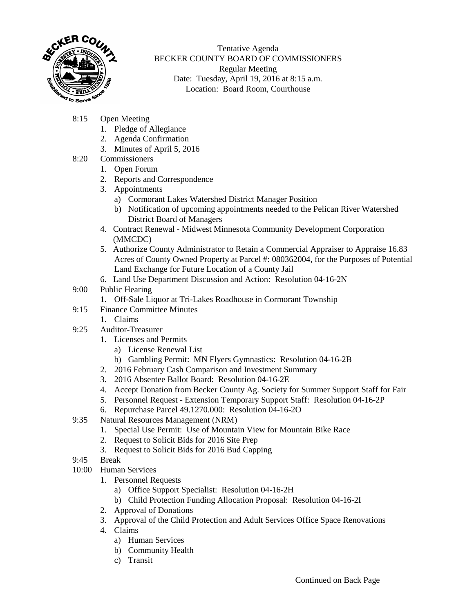

Tentative Agenda BECKER COUNTY BOARD OF COMMISSIONERS Regular Meeting Date: Tuesday, April 19, 2016 at 8:15 a.m. Location: Board Room, Courthouse

- 8:15 Open Meeting
	- 1. Pledge of Allegiance
	- 2. Agenda Confirmation
	- 3. Minutes of April 5, 2016
- 8:20 Commissioners
	- 1. Open Forum
	- 2. Reports and Correspondence
	- 3. Appointments
		- a) Cormorant Lakes Watershed District Manager Position
		- b) Notification of upcoming appointments needed to the Pelican River Watershed District Board of Managers
	- 4. Contract Renewal Midwest Minnesota Community Development Corporation (MMCDC)
	- 5. Authorize County Administrator to Retain a Commercial Appraiser to Appraise 16.83 Acres of County Owned Property at Parcel #: 080362004, for the Purposes of Potential Land Exchange for Future Location of a County Jail
	- 6. Land Use Department Discussion and Action: Resolution 04-16-2N
- 9:00 Public Hearing
	- 1. Off-Sale Liquor at Tri-Lakes Roadhouse in Cormorant Township
- 9:15 Finance Committee Minutes
	- 1. Claims
- 9:25 Auditor-Treasurer
	- 1. Licenses and Permits
		- a) License Renewal List
		- b) Gambling Permit: MN Flyers Gymnastics: Resolution 04-16-2B
	- 2. 2016 February Cash Comparison and Investment Summary
	- 3. 2016 Absentee Ballot Board: Resolution 04-16-2E
	- 4. Accept Donation from Becker County Ag. Society for Summer Support Staff for Fair
	- 5. Personnel Request Extension Temporary Support Staff: Resolution 04-16-2P
	- 6. Repurchase Parcel 49.1270.000: Resolution 04-16-2O
- 9:35 Natural Resources Management (NRM)
	- 1. Special Use Permit: Use of Mountain View for Mountain Bike Race
	- 2. Request to Solicit Bids for 2016 Site Prep
	- 3. Request to Solicit Bids for 2016 Bud Capping
- 9:45 Break
- 10:00 Human Services
	- 1. Personnel Requests
		- a) Office Support Specialist: Resolution 04-16-2H
		- b) Child Protection Funding Allocation Proposal: Resolution 04-16-2I
	- 2. Approval of Donations
	- 3. Approval of the Child Protection and Adult Services Office Space Renovations
	- 4. Claims
		- a) Human Services
		- b) Community Health
		- c) Transit